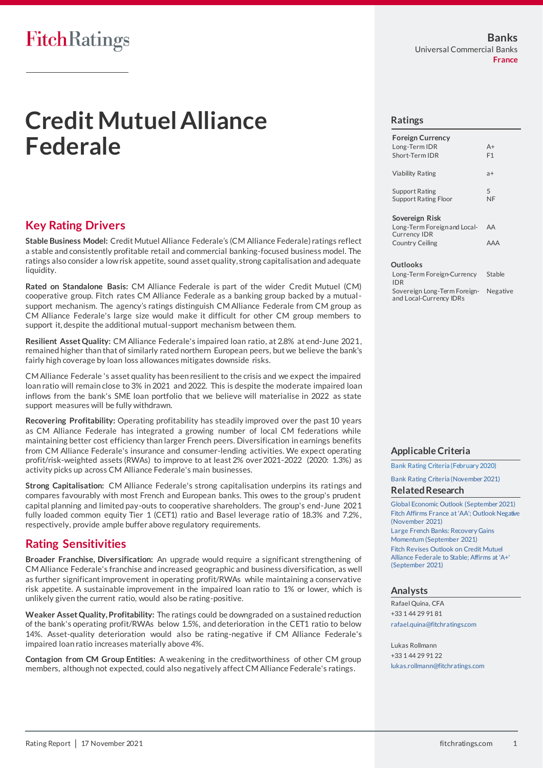# FitchRatings

# **Credit Mutuel Alliance Federale**

## **Key Rating Drivers**

**Stable Business Model:** Credit Mutuel Alliance Federale's (CM Alliance Federale) ratings reflect a stable and consistently profitable retail and commercial banking-focused business model. The ratings also consider a low risk appetite, sound asset quality, strong capitalisation and adequate liquidity.

**Rated on Standalone Basis:** CM Alliance Federale is part of the wider Credit Mutuel (CM) cooperative group. Fitch rates CM Alliance Federale as a banking group backed by a mutualsupport mechanism. The agency's ratings distinguish CM Alliance Federale from CM group as CM Alliance Federale's large size would make it difficult for other CM group members to support it, despite the additional mutual-support mechanism between them.

**Resilient Asset Quality:** CM Alliance Federale's impaired loan ratio, at 2.8% at end-June 2021, remained higher than that of similarly rated northern European peers, but we believe the bank's fairly high coverage by loan loss allowances mitigates downside risks.

CM Alliance Federale 's asset quality has been resilient to the crisis and we expect the impaired loan ratio will remain close to 3% in 2021 and 2022. This is despite the moderate impaired loan inflows from the bank's SME loan portfolio that we believe will materialise in 2022 as state support measures will be fully withdrawn.

**Recovering Profitability:** Operating profitability has steadily improved over the past 10 years as CM Alliance Federale has integrated a growing number of local CM federations while maintaining better cost efficiency than larger French peers. Diversification in earnings benefits from CM Alliance Federale's insurance and consumer-lending activities. We expect operating profit/risk-weighted assets (RWAs) to improve to at least 2% over 2021-2022 (2020: 1.3%) as activity picks up across CM Alliance Federale's main businesses.

**Strong Capitalisation:** CM Alliance Federale's strong capitalisation underpins its ratings and compares favourably with most French and European banks. This owes to the group's prudent capital planning and limited pay-outs to cooperative shareholders. The group's end-June 2021 fully loaded common equity Tier 1 (CET1) ratio and Basel leverage ratio of 18.3% and 7.2%, respectively, provide ample buffer above regulatory requirements.

## **Rating Sensitivities**

**Broader Franchise, Diversification:** An upgrade would require a significant strengthening of CM Alliance Federale's franchise and increased geographic and business diversification, as well as further significant improvement in operating profit/RWAs while maintaining a conservative risk appetite. A sustainable improvement in the impaired loan ratio to 1% or lower, which is unlikely given the current ratio, would also be rating-positive.

**Weaker Asset Quality, Profitability:** The ratings could be downgraded on a sustained reduction of the bank's operating profit/RWAs below 1.5%, and deterioration in the CET1 ratio to below 14%. Asset-quality deterioration would also be rating-negative if CM Alliance Federale's impaired loan ratio increases materially above 4%.

**Contagion from CM Group Entities:** A weakening in the creditworthiness of other CM group members, although not expected, could also negatively affect CM Alliance Federale's ratings.

#### **Ratings**

| <b>Foreign Currency</b><br>Long-Term IDR<br>Short-Term IDR | $A+$<br>F <sub>1</sub> |
|------------------------------------------------------------|------------------------|
| Viability Rating                                           | $a+$                   |
| <b>Support Rating</b><br><b>Support Rating Floor</b>       | 5<br>NF                |
| Sovereign Risk                                             |                        |

Long-Term Foreign and Local-Currency IDR AA Country Ceiling AAA

#### **Outlooks**

Long-Term Foreign-Currency IDR Stable Sovereign Long-Term Foreignand Local-Currency IDRs Negative

#### **Applicable Criteria**

[Bank Rating Criteria \(February 2020\)](https://app.fitchconnect.com/search/research/article/FR_RPT_10110041)

[Bank Rating Criteria \(November 2021\)](https://app.fitchconnect.com/search/research/article/RPT_10182112)

#### **Related Research**

[Global Economic Outlook \(September 2021\)](https://app.fitchconnect.com/search/research/article/RPT_10176996) [Fitch Affirms France at 'AA'; Outlook Negative](https://app.fitchconnect.com/search/research/article/PR_10183295)  [\(November 2021\)](https://app.fitchconnect.com/search/research/article/PR_10183295) [Large French Banks: Recovery Gains](https://app.fitchconnect.com/search/research/article/RPT_10176575)  [Momentum \(September 2021\)](https://app.fitchconnect.com/search/research/article/RPT_10176575) [Fitch Revises Outlook on Credit Mutuel](https://app.fitchconnect.com/search/research/article/PR_10182379)  [Alliance Federale to Stable; Affirms at 'A+'](https://app.fitchconnect.com/search/research/article/PR_10182379) 

#### **Analysts**

[\(September 2021\)](https://app.fitchconnect.com/search/research/article/PR_10182379)

Rafael Quina, CFA +33 1 44 29 91 81 [rafael.quina@fitchratings.com](mailto:rafael.quina@fitchratings.com)

Lukas Rollmann +33 1 44 29 91 22 [lukas.rollmann@fitchratings.com](mailto:lukas.rollmann@fitchratings.com)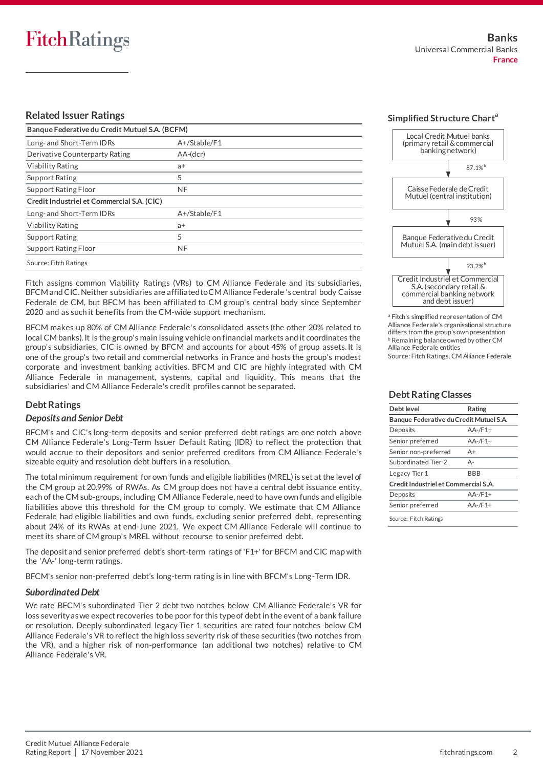#### **Related Issuer Ratings**

| Banque Federative du Credit Mutuel S.A. (BCFM) |              |  |  |  |
|------------------------------------------------|--------------|--|--|--|
| Long- and Short-Term IDRs                      | A+/Stable/F1 |  |  |  |
| Derivative Counterparty Rating                 | AA-(dcr)     |  |  |  |
| <b>Viability Rating</b>                        | a+           |  |  |  |
| <b>Support Rating</b>                          | 5            |  |  |  |
| Support Rating Floor                           | <b>NF</b>    |  |  |  |
| Credit Industriel et Commercial S.A. (CIC)     |              |  |  |  |
| Long- and Short-Term IDRs                      | A+/Stable/F1 |  |  |  |
| <b>Viability Rating</b>                        | $a+$         |  |  |  |
| <b>Support Rating</b>                          | 5            |  |  |  |
| Support Rating Floor                           | <b>NF</b>    |  |  |  |
| Source: Fitch Ratings                          |              |  |  |  |

Fitch assigns common Viability Ratings (VRs) to CM Alliance Federale and its subsidiaries, BFCM and CIC. Neither subsidiaries are affiliated to CM Alliance Federale 's central body Caisse Federale de CM, but BFCM has been affiliated to CM group's central body since September 2020 and as such it benefits from the CM-wide support mechanism.

BFCM makes up 80% of CM Alliance Federale's consolidated assets (the other 20% related to local CM banks). It is the group's main issuing vehicle on financial markets and it coordinates the group's subsidiaries. CIC is owned by BFCM and accounts for about 45% of group assets. It is one of the group's two retail and commercial networks in France and hosts the group's modest corporate and investment banking activities. BFCM and CIC are highly integrated with CM Alliance Federale in management, systems, capital and liquidity. This means that the subsidiaries' and CM Alliance Federale's credit profiles cannot be separated.

#### **Debt Ratings**

#### *Deposits and Senior Debt*

BFCM's and CIC's long-term deposits and senior preferred debt ratings are one notch above CM Alliance Federale's Long-Term Issuer Default Rating (IDR) to reflect the protection that would accrue to their depositors and senior preferred creditors from CM Alliance Federale's sizeable equity and resolution debt buffers in a resolution.

The total minimum requirement for own funds and eligible liabilities (MREL) is set at the level of the CM group at 20.99% of RWAs. As CM group does not have a central debt issuance entity, each of the CM sub-groups, including CM Alliance Federale, need to have own funds and eligible liabilities above this threshold for the CM group to comply. We estimate that CM Alliance Federale had eligible liabilities and own funds, excluding senior preferred debt, representing about 24% of its RWAs at end-June 2021. We expect CM Alliance Federale will continue to meet its share of CM group's MREL without recourse to senior preferred debt.

The deposit and senior preferred debt's short-term ratings of 'F1+' for BFCM and CIC map with the 'AA-' long-term ratings.

BFCM's senior non-preferred debt's long-term rating is in line with BFCM's Long-Term IDR.

#### *Subordinated Debt*

We rate BFCM's subordinated Tier 2 debt two notches below CM Alliance Federale's VR for loss severity as we expect recoveries to be poor for this type of debt in the event of a bank failure or resolution. Deeply subordinated legacy Tier 1 securities are rated four notches below CM Alliance Federale's VR to reflect the high loss severity risk of these securities (two notches from the VR), and a higher risk of non-performance (an additional two notches) relative to CM Alliance Federale's VR.



<sup>a</sup> Fitch's simplified representation of CM Alliance Federale's organisational structure differs from the group's own presentation **b** Remaining balance owned by other CM Alliance Federale entities Source: Fitch Ratings, CM Alliance Federale

#### **Debt Rating Classes**

| Debt level                              | Rating       |  |
|-----------------------------------------|--------------|--|
| Banque Federative du Credit Mutuel S.A. |              |  |
| Deposits                                | $AA -/F1 +$  |  |
| Senior preferred                        | $AA-F1+$     |  |
| Senior non-preferred                    | A+           |  |
| Subordinated Tier 2                     | А-           |  |
| Legacy Tier 1                           | <b>BBB</b>   |  |
| Credit Industriel et Commercial S.A.    |              |  |
| Deposits                                | $AA - /F1 +$ |  |
| Senior preferred                        | $AA$ -/F1+   |  |
| Source: Fitch Ratings                   |              |  |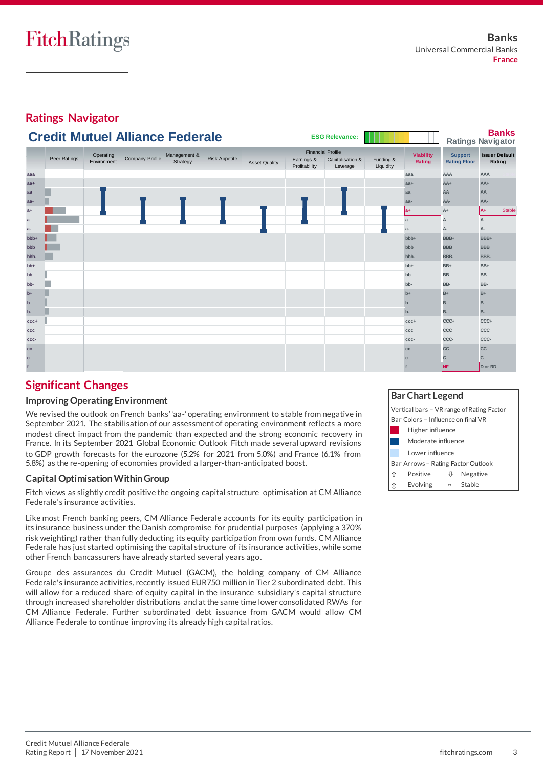

## **Significant Changes**

#### **Improving Operating Environment**

We revised the outlook on French banks' 'aa-' operating environment to stable from negative in September 2021. The stabilisation of our assessment of operating environment reflects a more modest direct impact from the pandemic than expected and the strong economic recovery in France. In its September 2021 Global Economic Outlook Fitch made several upward revisions to GDP growth forecasts for the eurozone (5.2% for 2021 from 5.0%) and France (6.1% from 5.8%) as the re-opening of economies provided a larger-than-anticipated boost.

#### **Capital Optimisation Within Group**

Fitch views as slightly credit positive the ongoing capital structure optimisation at CM Alliance Federale's insurance activities.

Like most French banking peers, CM Alliance Federale accounts for its equity participation in its insurance business under the Danish compromise for prudential purposes (applying a 370% risk weighting) rather than fully deducting its equity participation from own funds. CM Alliance Federale has just started optimising the capital structure of its insurance activities, while some other French bancassurers have already started several years ago.

Groupe des assurances du Credit Mutuel (GACM), the holding company of CM Alliance Federale's insurance activities, recently issued EUR750 million in Tier 2 subordinated debt. This will allow for a reduced share of equity capital in the insurance subsidiary's capital structure through increased shareholder distributions and at the same time lower consolidated RWAs for CM Alliance Federale. Further subordinated debt issuance from GACM would allow CM Alliance Federale to continue improving its already high capital ratios.

## **Bar Chart Legend**

| Vertical bars - VR range of Rating Factor |                                    |   |          |  |  |  |
|-------------------------------------------|------------------------------------|---|----------|--|--|--|
|                                           | Bar Colors - Influence on final VR |   |          |  |  |  |
| Higher influence                          |                                    |   |          |  |  |  |
|                                           | Moderate influence                 |   |          |  |  |  |
|                                           | Lower influence                    |   |          |  |  |  |
|                                           | Bar Arrows - Rating Factor Outlook |   |          |  |  |  |
| ⇑                                         | Positive                           | ₩ | Negative |  |  |  |
|                                           | <b>Evolving</b>                    |   | Stable   |  |  |  |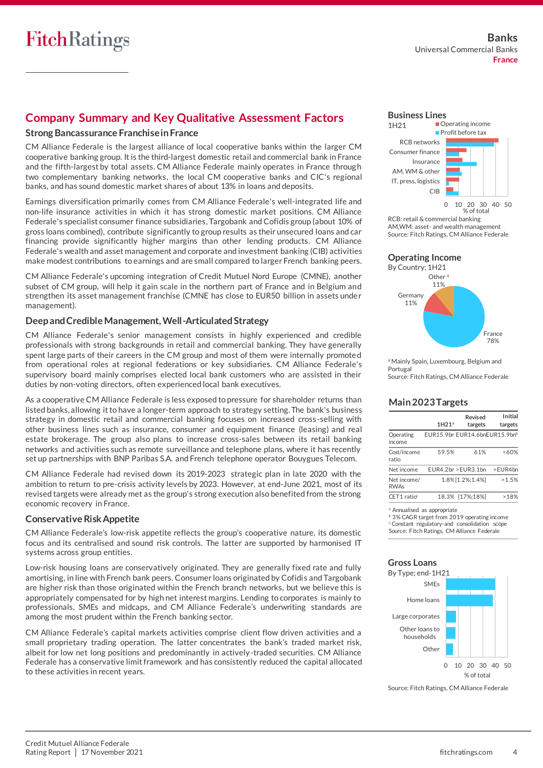## **Company Summary and Key Qualitative Assessment Factors**

#### **Strong Bancassurance Franchise in France**

CM Alliance Federale is the largest alliance of local cooperative banks within the larger CM cooperative banking group. Itis the third-largest domestic retail and commercial bank in France and the fifth-largest by total assets. CM Alliance Federale mainly operates in France throug h two complementary banking networks, the local CM cooperative banks and CIC's regional banks, and has sound domestic market shares of about 13% in loans and deposits.

Earnings diversification primarily comes from CM Alliance Federale's well-integrated life and non-life insurance activities in which it has strong domestic market positions. CM Alliance Federale's specialist consumer finance subsidiaries, Targobank and Cofidis group (about 10% of gross loans combined), contribute significantly to group results as their unsecured loans and car financing provide significantly higher margins than other lending products. CM Alliance Federale's wealth and asset management and corporate and investment banking (CIB) activities make modest contributions to earnings and are small compared to larger French banking peers.

CM Alliance Federale's upcoming integration of Credit Mutuel Nord Europe (CMNE), another subset of CM group, will help it gain scale in the northern part of France and in Belgium and strengthen its asset management franchise (CMNE has close to EUR50 billion in assets unde r management).

#### **Deep and Credible Management, Well-Articulated Strategy**

CM Alliance Federale's senior management consists in highly experienced and credible professionals with strong backgrounds in retail and commercial banking. They have generally spent large parts of their careers in the CM group and most of them were internally promote d from operational roles at regional federations or key subsidiaries. CM Alliance Federale's supervisory board mainly comprises elected local bank customers who are assisted in their duties by non-voting directors, often experienced local bank executives.

As a cooperative CM Alliance Federale is less exposed to pressure for shareholder returns than listed banks, allowing it to have a longer-term approach to strategy setting. The bank's business strategy in domestic retail and commercial banking focuses on increased cross -selling with other business lines such as insurance, consumer and equipment finance (leasing) and real estate brokerage. The group also plans to increase cross-sales between its retail banking networks and activities such as remote surveillance and telephone plans, where it has recently set up partnerships with BNP Paribas S.A. and French telephone operator Bouygues Telecom.

CM Alliance Federale had revised down its 2019-2023 strategic plan in late 2020 with the ambition to return to pre-crisis activity levels by 2023. However, at end-June 2021, most of its revised targets were already met as the group's strong execution also benefited from the strong economic recovery in France.

#### **Conservative Risk Appetite**

CM Alliance Federale's low-risk appetite reflects the group's cooperative nature, its domestic focus and its centralised and sound risk controls. The latter are supported by harmonised IT systems across group entities.

Low-risk housing loans are conservatively originated. They are generally fixed rate and fully amortising, in line with French bank peers. Consumer loans originated by Cofidis and Targobank are higher risk than those originated within the French branch networks, but we believe this is appropriately compensated for by high net interest margins. Lending to corporates is mainly to professionals, SMEs and midcaps, and CM Alliance Federale's underwriting standards are among the most prudent within the French banking sector.

CM Alliance Federale's capital markets activities comprise client flow driven activities and a small proprietary trading operation. The latter concentrates the bank's traded market risk, albeit for low net long positions and predominantly in actively-traded securities. CM Alliance Federale has a conservative limit framework and has consistently reduced the capital allocated to these activities in recent years.



RCB: retail & commercial banking AM,WM: asset- and wealth management Source: Fitch Ratings, CM Alliance Federale

#### **Operating Income** By Country; 1H21



a Mainly Spain, Luxembourg, Belgium and Portugal Source: Fitch Ratings, CM Alliance Federale

#### **Main 2023 Targets**

|                            | 1H21a                         | Revised<br>targets | Initial<br>targets |
|----------------------------|-------------------------------|--------------------|--------------------|
| Operating<br>income        | EUR15.9bn EUR14.6bnEUR15.9bnb |                    |                    |
| Cost/income<br>ratio       | 59.5%                         | 61%                | ~160%              |
| Net income                 | EUR4.2bn > EUR3.1bn           |                    | >EUR4bn            |
| Net income/<br><b>RWAs</b> |                               | 1.8% [1.2%:1.4%]   | >1.5%              |
| $CET1$ ratio <sup>c</sup>  |                               | 18.3% [17%;18%]    | >18%               |
|                            |                               |                    |                    |

**Annualised as appropriate** 

3% CAGR target from 2019 operating income <sup>c</sup> Constant regulatory-and consolidation scope Source: Fitch Ratings, CM Alliance Federale

## **Gross Loans**



Source: Fitch Ratings, CM Alliance Federale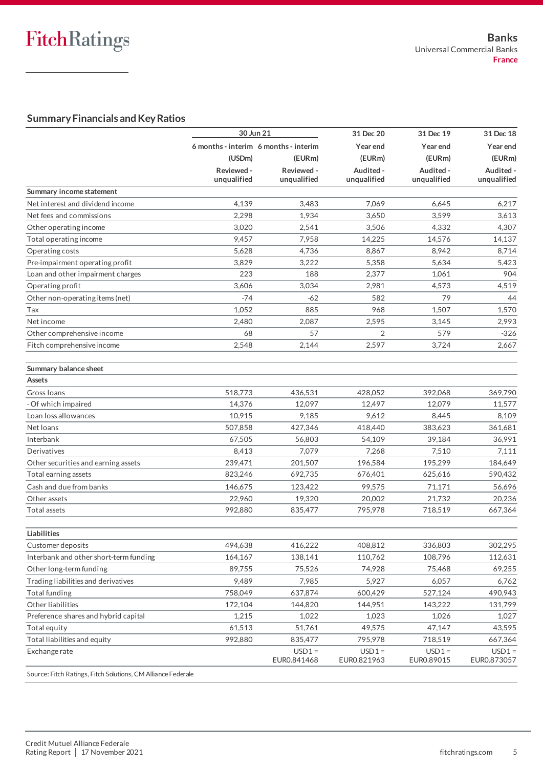### **Summary Financials and Key Ratios**

|                                        | 30 Jun 21                             |                         | 31 Dec 20               | 31 Dec 19              | 31 Dec 18               |  |
|----------------------------------------|---------------------------------------|-------------------------|-------------------------|------------------------|-------------------------|--|
|                                        | 6 months - interim 6 months - interim |                         | Year end                | Year end               | Year end                |  |
|                                        | (USDm)                                | (EURm)                  | (EURm)                  | (EURm)                 | (EURm)                  |  |
|                                        | Reviewed -                            | Reviewed -              | Audited -               | Audited -              | Audited -               |  |
|                                        | unqualified                           | unqualified             | unqualified             | unqualified            | unqualified             |  |
| Summary income statement               |                                       |                         |                         |                        |                         |  |
| Net interest and dividend income       | 4.139                                 | 3,483                   | 7.069                   | 6.645                  | 6,217                   |  |
| Net fees and commissions               | 2,298                                 | 1,934                   | 3,650                   | 3,599                  | 3,613                   |  |
| Other operating income                 | 3,020                                 | 2,541                   | 3,506                   | 4,332                  | 4,307                   |  |
| Total operating income                 | 9,457                                 | 7,958                   | 14,225                  | 14,576                 | 14,137                  |  |
| Operating costs                        | 5,628                                 | 4,736                   | 8,867                   | 8,942                  | 8,714                   |  |
| Pre-impairment operating profit        | 3,829                                 | 3,222                   | 5,358                   | 5,634                  | 5,423                   |  |
| Loan and other impairment charges      | 223                                   | 188                     | 2,377                   | 1,061                  | 904                     |  |
| Operating profit                       | 3,606                                 | 3,034                   | 2,981                   | 4,573                  | 4,519                   |  |
| Other non-operating items (net)        | $-74$                                 | -62                     | 582                     | 79                     | 44                      |  |
| Tax                                    | 1,052                                 | 885                     | 968                     | 1,507                  | 1,570                   |  |
| Net income                             | 2,480                                 | 2,087                   | 2,595                   | 3,145                  | 2,993                   |  |
| Other comprehensive income             | 68                                    | 57                      | 2                       | 579                    | $-326$                  |  |
| Fitch comprehensive income             | 2.548                                 | 2,144                   | 2,597                   | 3,724                  | 2,667                   |  |
| Summary balance sheet                  |                                       |                         |                         |                        |                         |  |
| Assets                                 |                                       |                         |                         |                        |                         |  |
| Gross Ioans                            | 518,773                               | 436,531                 | 428.052                 | 392,068                | 369,790                 |  |
| - Of which impaired                    | 14,376                                | 12,097                  | 12,497                  | 12,079                 | 11,577                  |  |
| Loan loss allowances                   | 10,915                                | 9,185                   | 9,612                   | 8,445                  | 8,109                   |  |
| Net loans                              | 507,858                               | 427,346                 | 418,440                 | 383,623                | 361,681                 |  |
| Interbank                              | 67,505                                | 56,803                  | 54,109                  | 39,184                 | 36,991                  |  |
| Derivatives                            | 8,413                                 | 7,079                   | 7,268                   | 7,510                  | 7,111                   |  |
| Other securities and earning assets    | 239,471                               | 201,507                 | 196,584                 | 195,299                | 184,649                 |  |
| Total earning assets                   | 823,246                               | 692,735                 | 676,401                 | 625,616                | 590,432                 |  |
| Cash and due from banks                | 146,675                               | 123.422                 | 99,575                  | 71,171                 | 56,696                  |  |
| Other assets                           | 22,960                                | 19,320                  | 20,002                  | 21.732                 | 20,236                  |  |
|                                        |                                       |                         |                         |                        |                         |  |
| Total assets                           | 992,880                               | 835,477                 | 795,978                 | 718,519                | 667,364                 |  |
| Liabilities                            |                                       |                         |                         |                        |                         |  |
| Customer deposits                      | 494,638                               | 416,222                 | 408,812                 | 336,803                | 302,295                 |  |
| Interbank and other short-term funding | 164,167                               | 138,141                 | 110,762                 | 108,796                | 112,631                 |  |
| Other long-term funding                | 89,755                                | 75,526                  | 74,928                  | 75,468                 | 69,255                  |  |
| Trading liabilities and derivatives    | 9,489                                 | 7,985                   | 5,927                   | 6,057                  | 6,762                   |  |
| Total funding                          | 758,049                               | 637,874                 | 600,429                 | 527,124                | 490,943                 |  |
| Other liabilities                      | 172,104                               | 144,820                 | 144,951                 | 143,222                | 131,799                 |  |
| Preference shares and hybrid capital   | 1,215                                 | 1,022                   | 1,023                   | 1,026                  | 1,027                   |  |
| Total equity                           | 61,513                                | 51,761                  | 49,575                  | 47,147                 | 43,595                  |  |
| Total liabilities and equity           | 992,880                               | 835,477                 | 795,978                 | 718,519                | 667,364                 |  |
| Exchange rate                          |                                       | $USD1 =$<br>EUR0.841468 | $USD1 =$<br>EUR0.821963 | $USD1 =$<br>EUR0.89015 | $USD1 =$<br>EUR0.873057 |  |
|                                        |                                       |                         |                         |                        |                         |  |

Source: Fitch Ratings, Fitch Solutions, CM Alliance Federale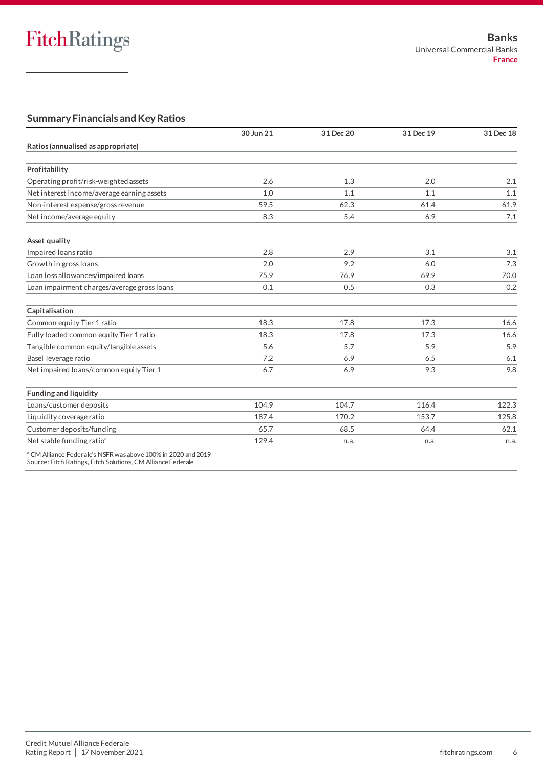## **Summary Financials and Key Ratios**

|                                             | 30 Jun 21 | 31 Dec 20 | 31 Dec 19 | 31 Dec 18 |
|---------------------------------------------|-----------|-----------|-----------|-----------|
| Ratios (annualised as appropriate)          |           |           |           |           |
| Profitability                               |           |           |           |           |
| Operating profit/risk-weighted assets       | 2.6       | 1.3       | 2.0       | 2.1       |
| Net interest income/average earning assets  | 1.0       | 1.1       | 1.1       | 1.1       |
| Non-interest expense/gross revenue          | 59.5      | 62.3      | 61.4      | 61.9      |
| Net income/average equity                   | 8.3       | 5.4       | 6.9       | 7.1       |
| Asset quality                               |           |           |           |           |
| Impaired Ioans ratio                        | 2.8       | 2.9       | 3.1       | 3.1       |
| Growth in gross loans                       | 2.0       | 9.2       | 6.0       | 7.3       |
| Loan loss allowances/impaired loans         | 75.9      | 76.9      | 69.9      | 70.0      |
| Loan impairment charges/average gross loans | 0.1       | 0.5       | 0.3       | 0.2       |
| Capitalisation                              |           |           |           |           |
| Common equity Tier 1 ratio                  | 18.3      | 17.8      | 17.3      | 16.6      |
| Fully loaded common equity Tier 1 ratio     | 18.3      | 17.8      | 17.3      | 16.6      |
| Tangible common equity/tangible assets      | 5.6       | 5.7       | 5.9       | 5.9       |
| Basel leverage ratio                        | 7.2       | 6.9       | 6.5       | 6.1       |
| Net impaired loans/common equity Tier 1     | 6.7       | 6.9       | 9.3       | 9.8       |
| <b>Funding and liquidity</b>                |           |           |           |           |
| Loans/customer deposits                     | 104.9     | 104.7     | 116.4     | 122.3     |
| Liquidity coverage ratio                    | 187.4     | 170.2     | 153.7     | 125.8     |
| Customer deposits/funding                   | 65.7      | 68.5      | 64.4      | 62.1      |
| Net stable funding ratio <sup>a</sup>       | 129.4     | n.a.      | n.a.      | n.a.      |

<sup>a</sup> CM Alliance Federale's NSFR was above 100% in 2020 and 2019

Source: Fitch Ratings, Fitch Solutions, CM Alliance Federale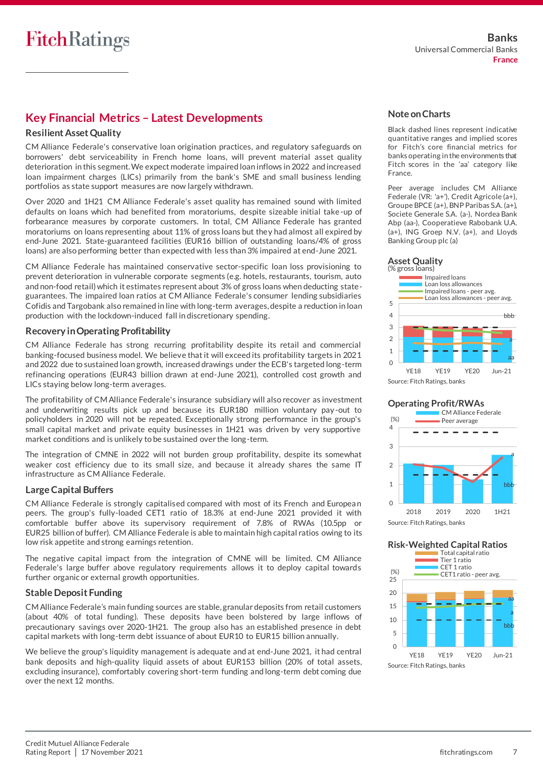## **Key Financial Metrics – Latest Developments**

#### **Resilient Asset Quality**

CM Alliance Federale's conservative loan origination practices, and regulatory safeguards on borrowers' debt serviceability in French home loans, will prevent material asset quality deterioration in this segment. We expect moderate impaired loan inflows in 2022 and increased loan impairment charges (LICs) primarily from the bank's SME and small business lending portfolios as state support measures are now largely withdrawn.

Over 2020 and 1H21 CM Alliance Federale's asset quality has remained sound with limited defaults on loans which had benefited from moratoriums, despite sizeable initial take-up of forbearance measures by corporate customers. In total, CM Alliance Federale has granted moratoriums on loans representing about 11% of gross loans but they had almost all expired by end-June 2021. State-guaranteed facilities (EUR16 billion of outstanding loans/4% of gross loans) are also performing better than expected with less than 3% impaired at end-June 2021.

CM Alliance Federale has maintained conservative sector-specific loan loss provisioning to prevent deterioration in vulnerable corporate segments (e.g. hotels, restaurants, tourism, auto and non-food retail) which it estimates represent about 3% of gross loans when deducting stateguarantees. The impaired loan ratios at CM Alliance Federale's consumer lending subsidiaries Cofidis and Targobank also remained in line with long-term averages, despite a reduction in loan production with the lockdown-induced fall in discretionary spending.

#### **Recovery in Operating Profitability**

CM Alliance Federale has strong recurring profitability despite its retail and commercial banking-focused business model. We believe that it will exceed its profitability targets in 2021 and 2022 due to sustained loan growth, increased drawings under the ECB's targeted long-term refinancing operations (EUR43 billion drawn at end-June 2021), controlled cost growth and LICs staying below long-term averages.

The profitability of CM Alliance Federale's insurance subsidiary will also recover as investment and underwriting results pick up and because its EUR180 million voluntary pay -out to policyholders in 2020 will not be repeated. Exceptionally strong performance in the group's small capital market and private equity businesses in 1H21 was driven by very supportive market conditions and is unlikely to be sustained over the long-term.

The integration of CMNE in 2022 will not burden group profitability, despite its somewhat weaker cost efficiency due to its small size, and because it already shares the same IT infrastructure as CM Alliance Federale.

#### **Large Capital Buffers**

CM Alliance Federale is strongly capitalised compared with most of its French and Europea n peers. The group's fully-loaded CET1 ratio of 18.3% at end-June 2021 provided it with comfortable buffer above its supervisory requirement of 7.8% of RWAs (10.5pp or EUR25 billion of buffer). CM Alliance Federale is able to maintain high capital ratios owing to its low risk appetite and strong earnings retention.

The negative capital impact from the integration of CMNE will be limited. CM Alliance Federale's large buffer above regulatory requirements allows it to deploy capital towards further organic or external growth opportunities.

#### **Stable Deposit Funding**

CM Alliance Federale's main funding sources are stable, granular deposits from retail customers (about 40% of total funding). These deposits have been bolstered by large inflows of precautionary savings over 2020-1H21. The group also has an established presence in debt capital markets with long-term debt issuance of about EUR10 to EUR15 billion annually.

We believe the group's liquidity management is adequate and at end-June 2021, it had central bank deposits and high-quality liquid assets of about EUR153 billion (20% of total assets, excluding insurance), comfortably covering short-term funding and long-term debt coming due over the next 12 months.

#### **Note on Charts**

Black dashed lines represent indicative quantitative ranges and implied scores for Fitch's core financial metrics for banks operating in the environments that Fitch scores in the 'aa' category like France.

Peer average includes CM Alliance Federale (VR: 'a+'), Credit Agricole (a+), Groupe BPCE (a+), BNP Paribas S.A. (a+), Societe Generale S.A. (a-), Nordea Bank Abp (aa-), Cooperatieve Rabobank U.A. (a+), ING Groep N.V. (a+), and Lloyds Banking Group plc (a)



**Operating Profit/RWAs**





#### **Risk-Weighted Capital Ratios**

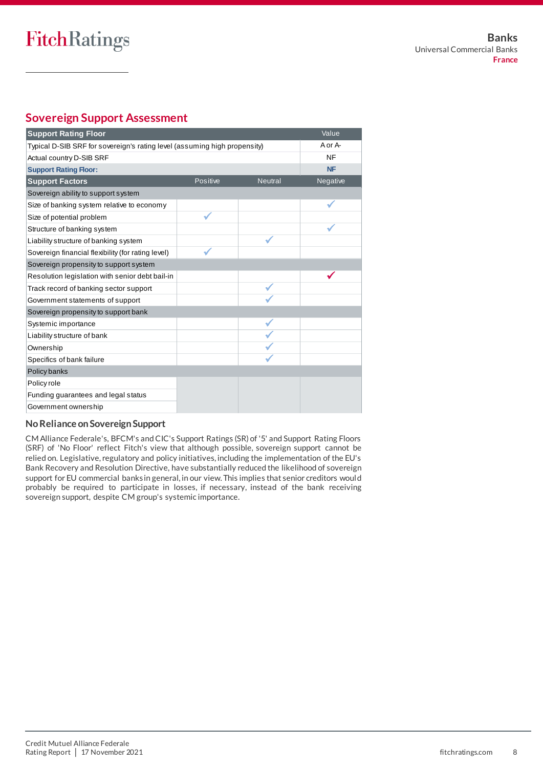## **Sovereign Support Assessment**

| <b>Support Rating Floor</b>                                               | Value    |                |           |
|---------------------------------------------------------------------------|----------|----------------|-----------|
| Typical D-SIB SRF for sovereign's rating level (assuming high propensity) | A or A-  |                |           |
| Actual country D-SIB SRF                                                  |          |                | NF        |
| <b>Support Rating Floor:</b>                                              |          |                | <b>NF</b> |
| <b>Support Factors</b>                                                    | Positive | <b>Neutral</b> | Negative  |
| Sovereign ability to support system                                       |          |                |           |
| Size of banking system relative to economy                                |          |                |           |
| Size of potential problem                                                 |          |                |           |
| Structure of banking system                                               |          |                |           |
| Liability structure of banking system                                     |          |                |           |
| Sovereign financial flexibility (for rating level)                        |          |                |           |
| Sovereign propensity to support system                                    |          |                |           |
| Resolution legislation with senior debt bail-in                           |          |                |           |
| Track record of banking sector support                                    |          |                |           |
| Government statements of support                                          |          |                |           |
| Sovereign propensity to support bank                                      |          |                |           |
| Systemic importance                                                       |          |                |           |
| Liability structure of bank                                               |          |                |           |
| Ownership                                                                 |          |                |           |
| Specifics of bank failure                                                 |          |                |           |
| Policy banks                                                              |          |                |           |
| Policy role                                                               |          |                |           |
| Funding guarantees and legal status                                       |          |                |           |
| Government ownership                                                      |          |                |           |

#### **No Reliance on Sovereign Support**

CM Alliance Federale's, BFCM's and CIC's Support Ratings (SR) of '5' and Support Rating Floors (SRF) of 'No Floor' reflect Fitch's view that although possible, sovereign support cannot be relied on. Legislative, regulatory and policy initiatives, including the implementation of the EU's Bank Recovery and Resolution Directive, have substantially reduced the likelihood of sovereign support for EU commercial banks in general, in our view. This implies that senior creditors woul d probably be required to participate in losses, if necessary, instead of the bank receiving sovereign support, despite CM group's systemic importance.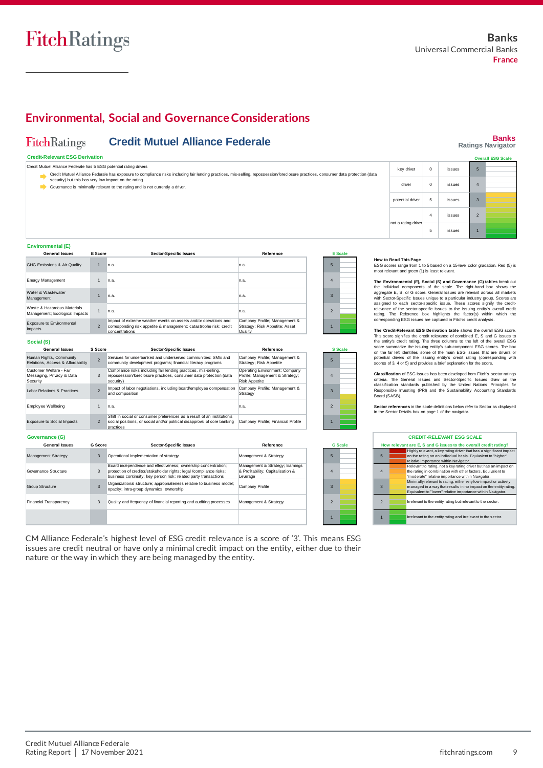## **Environmental, Social and Governance Considerations**

#### **FitchRatings Credit Mutuel Alliance Federale**

#### **Credit-Relevant ESG Derivation**

|  | Credit Mutuel Alliance Federale has 5 ESG potential rating drivers |
|--|--------------------------------------------------------------------|

- $\Rightarrow$  Gre Credit Mutuel Alliance Federale has exposure to compliance risks including fair lending practices, mis-selling, repossession/foreclosure practices, consumer data protection (data<br>security) but this has very low impact on t
- Governance is minimally relevant to the rating and is not currently a driver.

#### **Banks Ratings Navigator** 5 4 **Overall ESG Scale** key driver 0 issues driver 0 issues

3 2 1

| Environmental (E) |  |
|-------------------|--|
|                   |  |

| <b>General Issues</b>                                         | E Score        | <b>Sector-Specific Issues</b>                                                                                                                            | Reference                                                                  |                | <b>E</b> Scale |
|---------------------------------------------------------------|----------------|----------------------------------------------------------------------------------------------------------------------------------------------------------|----------------------------------------------------------------------------|----------------|----------------|
| GHG Emissions & Air Quality                                   | $\overline{1}$ | n.a.                                                                                                                                                     | n.a.                                                                       | 5              |                |
| Energy Management                                             |                | n.a.                                                                                                                                                     | n.a.                                                                       | 4              |                |
| Water & Wastewater<br>Management                              |                | n.a.                                                                                                                                                     | n.a.                                                                       | $\overline{3}$ |                |
| Waste & Hazardous Materials<br>Management; Ecological Impacts |                | n.a.                                                                                                                                                     | n.a.                                                                       | $\overline{2}$ |                |
| Exposure to Environmental<br><b>Impacts</b>                   | $\overline{2}$ | Impact of extreme weather events on assets and/or operations and<br>corresponding risk appetite & management; catastrophe risk; credit<br>concentrations | Company Profile; Management &<br>Strategy; Risk Appetite; Asset<br>Quality |                |                |
| Social (S)                                                    |                |                                                                                                                                                          |                                                                            |                |                |

| <b>General Issues</b>                                            | S Score                  | <b>Sector-Specific Issues</b>                                                                                                                                    | Reference                                                                                 | <b>S</b> Scale |  |
|------------------------------------------------------------------|--------------------------|------------------------------------------------------------------------------------------------------------------------------------------------------------------|-------------------------------------------------------------------------------------------|----------------|--|
| Human Rights, Community<br>Relations, Access & Affordability     | $\mathfrak{p}$           | Services for underbanked and underserved communities: SME and<br>community development programs; financial literacy programs                                     | Company Profile; Management &<br>Strategy; Risk Appetite                                  |                |  |
| Customer Welfare - Fair<br>Messaging, Privacy & Data<br>Security | 3                        | Compliance risks including fair lending practices, mis-selling,<br>repossession/foreclosure practices, consumer data protection (data<br>security)               | Operating Environment; Company<br>Profile; Management & Strategy;<br><b>Risk Appetite</b> | Δ              |  |
| Labor Relations & Practices                                      | $\overline{\phantom{0}}$ | Impact of labor negotiations, including board/employee compensation<br>and composition                                                                           | Company Profile; Management &<br>Strategy                                                 | $\mathbf{B}$   |  |
| Employee Wellbeing                                               |                          | n.a.                                                                                                                                                             | n.a.                                                                                      | $\mathcal{P}$  |  |
| <b>Exposure to Social Impacts</b>                                | $\overline{2}$           | Shift in social or consumer preferences as a result of an institution's<br>social positions, or social and/or political disapproval of core banking<br>practices | Company Profile; Financial Profile                                                        |                |  |
| Governance (G)                                                   |                          |                                                                                                                                                                  |                                                                                           |                |  |

| <b>General Issues</b>         | G Score        | <b>Sector-Specific Issues</b>                                                                                                                                                                             | Reference                                                                        |               | <b>G</b> Scale |
|-------------------------------|----------------|-----------------------------------------------------------------------------------------------------------------------------------------------------------------------------------------------------------|----------------------------------------------------------------------------------|---------------|----------------|
| <b>Management Strategy</b>    | 3              | Operational implementation of strategy                                                                                                                                                                    | Management & Strategy                                                            | 5             |                |
| Governance Structure          | 3              | Board independence and effectiveness; ownership concentration;<br>protection of creditor/stakeholder rights; legal /compliance risks;<br>business continuity: key person risk: related party transactions | Management & Strategy; Earnings<br>& Profitability; Capitalisation &<br>Leverage | Δ             |                |
| <b>Group Structure</b>        | $\overline{3}$ | Organizational structure; appropriateness relative to business model;<br>opacity; intra-group dynamics; ownership                                                                                         | Company Profile                                                                  | з             |                |
| <b>Financial Transparency</b> | 3              | Quality and frequency of financial reporting and auditing processes                                                                                                                                       | Management & Strategy                                                            | $\mathcal{P}$ |                |
|                               |                |                                                                                                                                                                                                           |                                                                                  |               |                |

CM Alliance Federale's highest level of ESG credit relevance is a score of '3'. This means ESG issues are credit neutral or have only a minimal credit impact on the entity, either due to their nature or the way in which they are being managed by the entity.

## **How to Read This Page**

not a rating d

From 1 to 7 based on a 15-level color gradation. Red (5) is<br>
How to Read This Page<br>
ESG scores range from 1 to 5 based on a 15-level color gradation. Red (5) is<br>
most relevant and green (1) is least relevant. **The Environmental (E), Social (S) and Governance (G) tables** break out the individual components of the scale. The right-hand box shows the **How to Read This Page**<br>
ESG scores range from 1 to 5 based on a 15-level color gradation. Red (5) is<br>
most relevant and green (1) is least relevant.<br> **The Environmental (E), Social (S) and Governance (G) tables** break out How to Read This Page<br>
ESG scores range from 1 to 5 based on a 15-level color gradation. Red (5) is<br>
most relevant and green (1) is least relevant.<br>
The Environmental (E), Social (S) and Governance (G) tables break out<br>
th the individual components of the scale. The right-hand box shows the aggregate E, S, or G score. General issues anique to a particular industry group. Scores are relevance of the sector-specific issues to the issuing entit

4 issues 5 issues

potential driver 5 issues

**The Credit-Relevant ESG Derivation table** shows the overall ESG score. score summarize the issuing entity's sub-component ESG scores. The box<br>on the far left identifies some of the main ESG issues that are drivers or<br>potential drivers of the issuing entity's credit rating (corresponding with<br>

**Classification** of ESG issues has been developed from Fitch's sector ratings oriteria. The General Issues and Sector-Specific Issues draw on the classification standards published by the United Nations Principles for Resp Board (SASB).

**Sector references** in the scale definitions below refer to Sector as displayed in the Sector Details box on page 1 of the navigator.

|  | <b>CREDIT-RELEVANT ESG SCALE</b>                                 |  |                                                                                                       |  |  |  |
|--|------------------------------------------------------------------|--|-------------------------------------------------------------------------------------------------------|--|--|--|
|  | How relevant are E, S and G issues to the overall credit rating? |  |                                                                                                       |  |  |  |
|  | $5\overline{5}$                                                  |  | Highly relevant, a key rating driver that has a significant impact                                    |  |  |  |
|  |                                                                  |  | on the rating on an individual basis. Equivalent to "higher"<br>relative importance within Navigator. |  |  |  |
|  |                                                                  |  | Relevant to rating, not a key rating driver but has an impact on                                      |  |  |  |
|  | $\overline{4}$                                                   |  | the rating in combination with other factors. Equivalent to                                           |  |  |  |
|  |                                                                  |  | "moderate" relative importance within Navigator.                                                      |  |  |  |
|  |                                                                  |  | Minimally relevant to rating, either very low impact or actively                                      |  |  |  |
|  | 3                                                                |  | managed in a way that results in no impact on the entity rating.                                      |  |  |  |
|  |                                                                  |  | Equivalent to "lower" relative importance within Navigator.                                           |  |  |  |
|  | $\mathfrak{p}$                                                   |  |                                                                                                       |  |  |  |
|  |                                                                  |  | Irrelevant to the entity rating but relevant to the sector.                                           |  |  |  |
|  |                                                                  |  |                                                                                                       |  |  |  |
|  |                                                                  |  |                                                                                                       |  |  |  |
|  |                                                                  |  | Irrelevant to the entity rating and irrelevant to the sector.                                         |  |  |  |
|  |                                                                  |  |                                                                                                       |  |  |  |